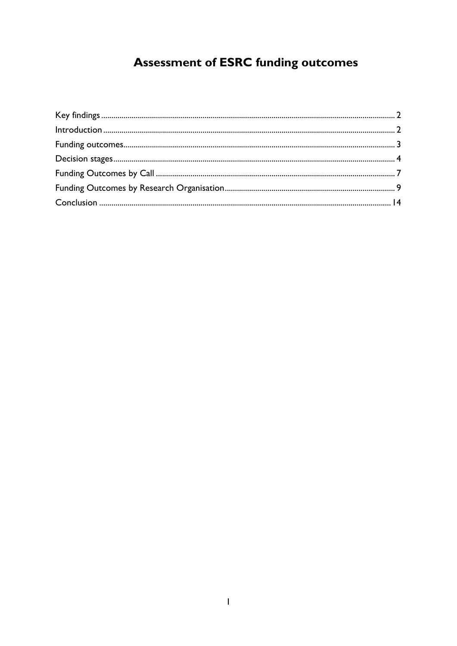# **Assessment of ESRC funding outcomes**

<span id="page-0-0"></span>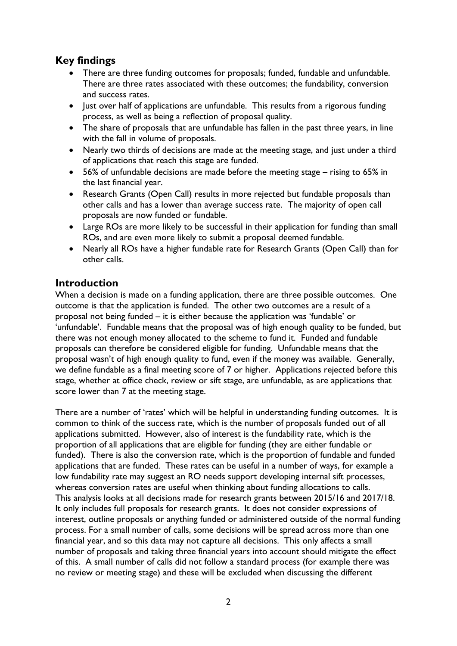# **Key findings**

- There are three funding outcomes for proposals; funded, fundable and unfundable. There are three rates associated with these outcomes; the fundability, conversion and success rates.
- Just over half of applications are unfundable. This results from a rigorous funding process, as well as being a reflection of proposal quality.
- The share of proposals that are unfundable has fallen in the past three years, in line with the fall in volume of proposals.
- Nearly two thirds of decisions are made at the meeting stage, and just under a third of applications that reach this stage are funded.
- 56% of unfundable decisions are made before the meeting stage rising to 65% in the last financial year.
- Research Grants (Open Call) results in more rejected but fundable proposals than other calls and has a lower than average success rate. The majority of open call proposals are now funded or fundable.
- Large ROs are more likely to be successful in their application for funding than small ROs, and are even more likely to submit a proposal deemed fundable.
- Nearly all ROs have a higher fundable rate for Research Grants (Open Call) than for other calls.

#### <span id="page-1-0"></span>**Introduction**

When a decision is made on a funding application, there are three possible outcomes. One outcome is that the application is funded. The other two outcomes are a result of a proposal not being funded – it is either because the application was 'fundable' or 'unfundable'. Fundable means that the proposal was of high enough quality to be funded, but there was not enough money allocated to the scheme to fund it. Funded and fundable proposals can therefore be considered eligible for funding. Unfundable means that the proposal wasn't of high enough quality to fund, even if the money was available. Generally, we define fundable as a final meeting score of 7 or higher. Applications rejected before this stage, whether at office check, review or sift stage, are unfundable, as are applications that score lower than 7 at the meeting stage.

There are a number of 'rates' which will be helpful in understanding funding outcomes. It is common to think of the success rate, which is the number of proposals funded out of all applications submitted. However, also of interest is the fundability rate, which is the proportion of all applications that are eligible for funding (they are either fundable or funded). There is also the conversion rate, which is the proportion of fundable and funded applications that are funded. These rates can be useful in a number of ways, for example a low fundability rate may suggest an RO needs support developing internal sift processes, whereas conversion rates are useful when thinking about funding allocations to calls. This analysis looks at all decisions made for research grants between 2015/16 and 2017/18. It only includes full proposals for research grants. It does not consider expressions of interest, outline proposals or anything funded or administered outside of the normal funding process. For a small number of calls, some decisions will be spread across more than one financial year, and so this data may not capture all decisions. This only affects a small number of proposals and taking three financial years into account should mitigate the effect of this. A small number of calls did not follow a standard process (for example there was no review or meeting stage) and these will be excluded when discussing the different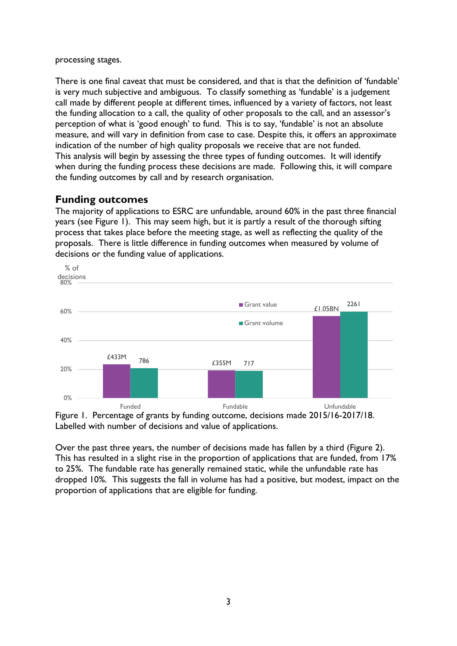processing stages.

There is one final caveat that must be considered, and that is that the definition of 'fundable' is very much subjective and ambiguous. To classify something as 'fundable' is a judgement call made by different people at different times, influenced by a variety of factors, not least the funding allocation to a call, the quality of other proposals to the call, and an assessor's perception of what is 'good enough' to fund. This is to say, 'fundable' is not an absolute measure, and will vary in definition from case to case. Despite this, it offers an approximate indication of the number of high quality proposals we receive that are not funded. This analysis will begin by assessing the three types of funding outcomes. It will identify when during the funding process these decisions are made. Following this, it will compare the funding outcomes by call and by research organisation.

## <span id="page-2-0"></span>**Funding outcomes**

The majority of applications to ESRC are unfundable, around 60% in the past three financial years (see Figure 1). This may seem high, but it is partly a result of the thorough sifting process that takes place before the meeting stage, as well as reflecting the quality of the proposals. There is little difference in funding outcomes when measured by volume of decisions or the funding value of applications.



Labelled with number of decisions and value of applications.

Over the past three years, the number of decisions made has fallen by a third (Figure 2). This has resulted in a slight rise in the proportion of applications that are funded, from 17% to 25%. The fundable rate has generally remained static, while the unfundable rate has dropped 10%. This suggests the fall in volume has had a positive, but modest, impact on the proportion of applications that are eligible for funding.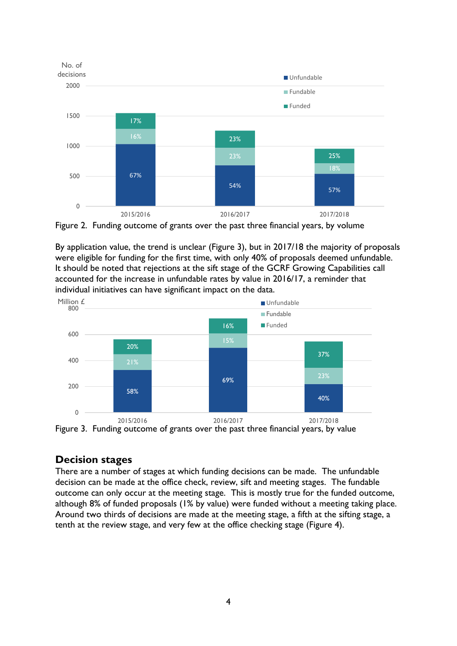

Figure 2. Funding outcome of grants over the past three financial years, by volume

By application value, the trend is unclear (Figure 3), but in 2017/18 the majority of proposals were eligible for funding for the first time, with only 40% of proposals deemed unfundable. It should be noted that rejections at the sift stage of the GCRF Growing Capabilities call accounted for the increase in unfundable rates by value in 2016/17, a reminder that individual initiatives can have significant impact on the data.





#### <span id="page-3-0"></span>**Decision stages**

There are a number of stages at which funding decisions can be made. The unfundable decision can be made at the office check, review, sift and meeting stages. The fundable outcome can only occur at the meeting stage. This is mostly true for the funded outcome, although 8% of funded proposals (1% by value) were funded without a meeting taking place. Around two thirds of decisions are made at the meeting stage, a fifth at the sifting stage, a tenth at the review stage, and very few at the office checking stage (Figure 4).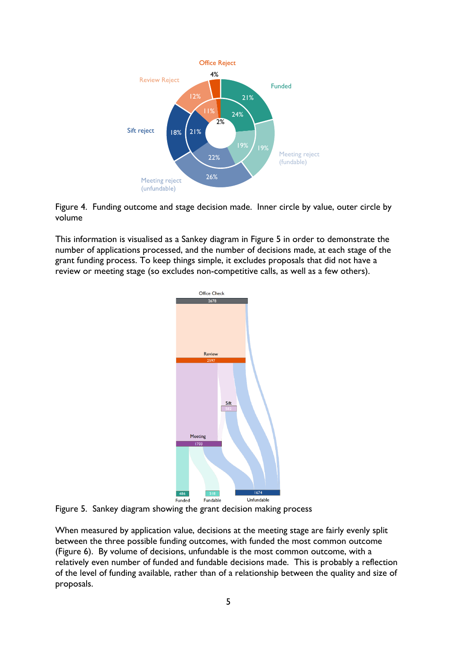



This information is visualised as a Sankey diagram in Figure 5 in order to demonstrate the number of applications processed, and the number of decisions made, at each stage of the grant funding process. To keep things simple, it excludes proposals that did not have a review or meeting stage (so excludes non-competitive calls, as well as a few others).



Figure 5. Sankey diagram showing the grant decision making process

When measured by application value, decisions at the meeting stage are fairly evenly split between the three possible funding outcomes, with funded the most common outcome (Figure 6). By volume of decisions, unfundable is the most common outcome, with a relatively even number of funded and fundable decisions made. This is probably a reflection of the level of funding available, rather than of a relationship between the quality and size of proposals.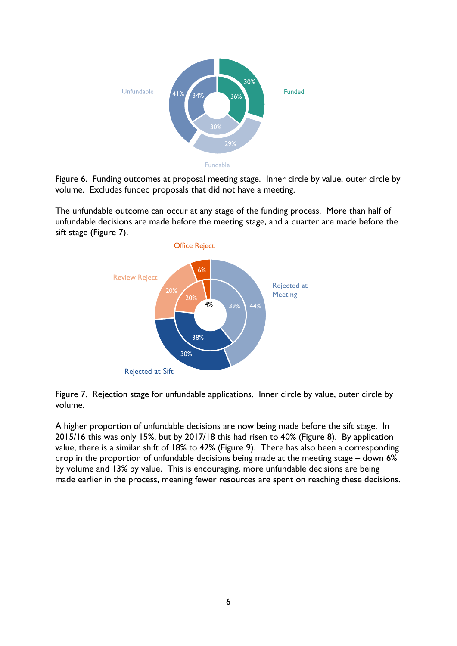

Figure 6. Funding outcomes at proposal meeting stage. Inner circle by value, outer circle by volume. Excludes funded proposals that did not have a meeting.

The unfundable outcome can occur at any stage of the funding process. More than half of unfundable decisions are made before the meeting stage, and a quarter are made before the sift stage (Figure 7).



Figure 7. Rejection stage for unfundable applications. Inner circle by value, outer circle by volume.

A higher proportion of unfundable decisions are now being made before the sift stage. In 2015/16 this was only 15%, but by 2017/18 this had risen to 40% (Figure 8). By application value, there is a similar shift of 18% to 42% (Figure 9). There has also been a corresponding drop in the proportion of unfundable decisions being made at the meeting stage – down 6% by volume and 13% by value. This is encouraging, more unfundable decisions are being made earlier in the process, meaning fewer resources are spent on reaching these decisions.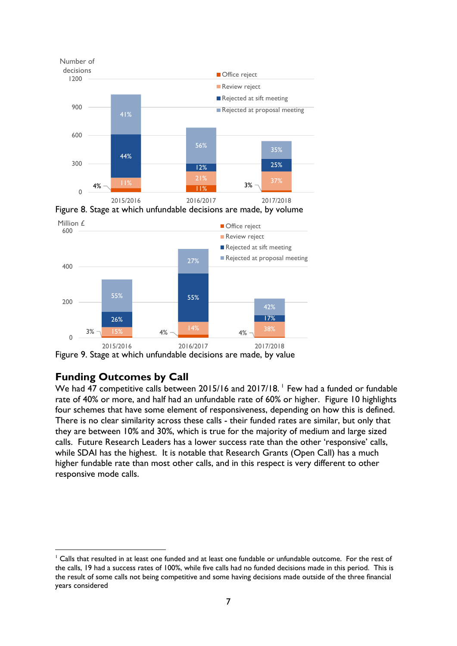





<span id="page-6-0"></span>Figure 9. Stage at which unfundable decisions are made, by value

## **Funding Outcomes by Call**

We had 47 competitive calls between 20[1](#page-6-1)5/16 and 2017/18.<sup>1</sup> Few had a funded or fundable rate of 40% or more, and half had an unfundable rate of 60% or higher. Figure 10 highlights four schemes that have some element of responsiveness, depending on how this is defined. There is no clear similarity across these calls - their funded rates are similar, but only that they are between 10% and 30%, which is true for the majority of medium and large sized calls. Future Research Leaders has a lower success rate than the other 'responsive' calls, while SDAI has the highest. It is notable that Research Grants (Open Call) has a much higher fundable rate than most other calls, and in this respect is very different to other responsive mode calls.

<span id="page-6-1"></span><sup>&</sup>lt;sup>1</sup> Calls that resulted in at least one funded and at least one fundable or unfundable outcome. For the rest of the calls, 19 had a success rates of 100%, while five calls had no funded decisions made in this period. This is the result of some calls not being competitive and some having decisions made outside of the three financial years considered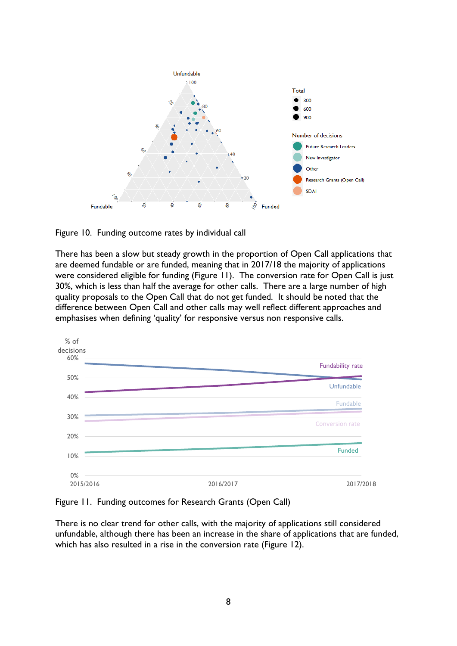

Figure 10. Funding outcome rates by individual call

There has been a slow but steady growth in the proportion of Open Call applications that are deemed fundable or are funded, meaning that in 2017/18 the majority of applications were considered eligible for funding (Figure 11). The conversion rate for Open Call is just 30%, which is less than half the average for other calls. There are a large number of high quality proposals to the Open Call that do not get funded. It should be noted that the difference between Open Call and other calls may well reflect different approaches and emphasises when defining 'quality' for responsive versus non responsive calls.



Figure 11. Funding outcomes for Research Grants (Open Call)

There is no clear trend for other calls, with the majority of applications still considered unfundable, although there has been an increase in the share of applications that are funded, which has also resulted in a rise in the conversion rate (Figure 12).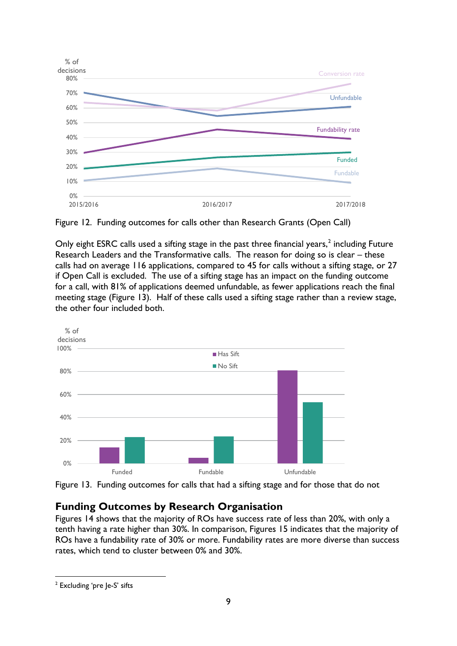

Figure 12. Funding outcomes for calls other than Research Grants (Open Call)

Only eight ESRC calls used a sifting stage in the past three financial years,<sup>[2](#page-8-1)</sup> including Future Research Leaders and the Transformative calls. The reason for doing so is clear – these calls had on average 116 applications, compared to 45 for calls without a sifting stage, or 27 if Open Call is excluded. The use of a sifting stage has an impact on the funding outcome for a call, with 81% of applications deemed unfundable, as fewer applications reach the final meeting stage (Figure 13). Half of these calls used a sifting stage rather than a review stage, the other four included both.



Figure 13. Funding outcomes for calls that had a sifting stage and for those that do not

## <span id="page-8-0"></span>**Funding Outcomes by Research Organisation**

Figures 14 shows that the majority of ROs have success rate of less than 20%, with only a tenth having a rate higher than 30%. In comparison, Figures 15 indicates that the majority of ROs have a fundability rate of 30% or more. Fundability rates are more diverse than success rates, which tend to cluster between 0% and 30%.

<span id="page-8-1"></span><sup>&</sup>lt;sup>2</sup> Excluding 'pre Je-S' sifts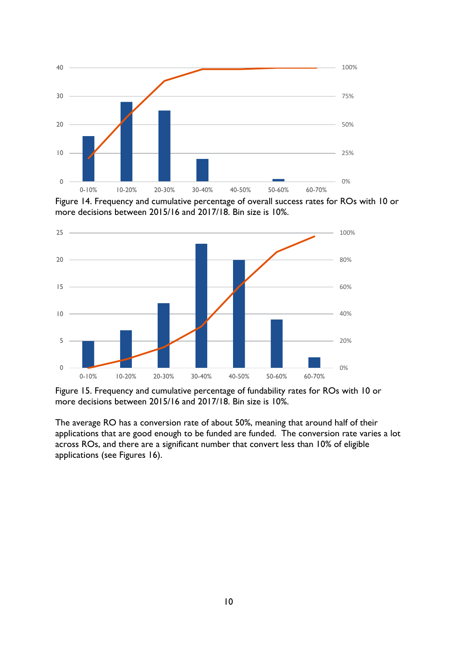

Figure 14. Frequency and cumulative percentage of overall success rates for ROs with 10 or more decisions between 2015/16 and 2017/18. Bin size is 10%.



Figure 15. Frequency and cumulative percentage of fundability rates for ROs with 10 or more decisions between 2015/16 and 2017/18. Bin size is 10%.

The average RO has a conversion rate of about 50%, meaning that around half of their applications that are good enough to be funded are funded. The conversion rate varies a lot across ROs, and there are a significant number that convert less than 10% of eligible applications (see Figures 16).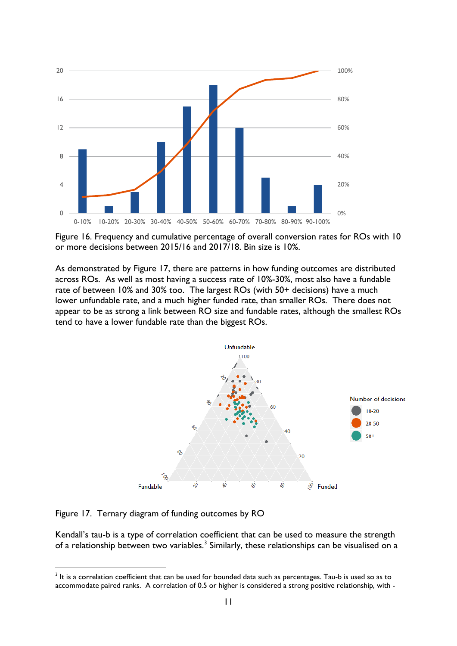

Figure 16. Frequency and cumulative percentage of overall conversion rates for ROs with 10 or more decisions between 2015/16 and 2017/18. Bin size is 10%.

As demonstrated by Figure 17, there are patterns in how funding outcomes are distributed across ROs. As well as most having a success rate of 10%-30%, most also have a fundable rate of between 10% and 30% too. The largest ROs (with 50+ decisions) have a much lower unfundable rate, and a much higher funded rate, than smaller ROs. There does not appear to be as strong a link between RO size and fundable rates, although the smallest ROs tend to have a lower fundable rate than the biggest ROs.



Figure 17. Ternary diagram of funding outcomes by RO

Kendall's tau-b is a type of correlation coefficient that can be used to measure the strength of a relationship between two variables.<sup>[3](#page-10-0)</sup> Similarly, these relationships can be visualised on a

<span id="page-10-0"></span> $3$  It is a correlation coefficient that can be used for bounded data such as percentages. Tau-b is used so as to accommodate paired ranks. A correlation of 0.5 or higher is considered a strong positive relationship, with -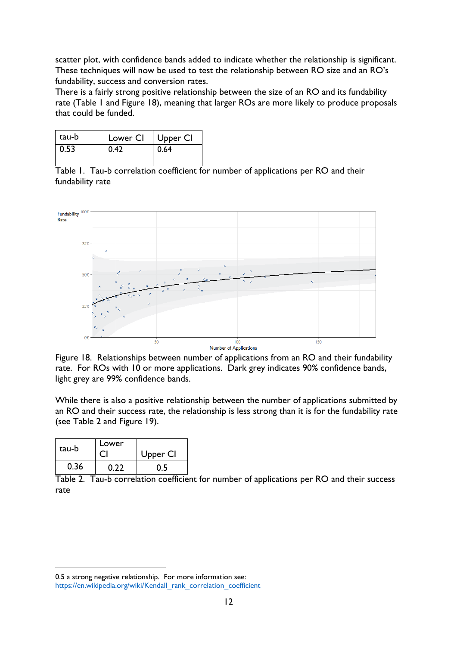scatter plot, with confidence bands added to indicate whether the relationship is significant. These techniques will now be used to test the relationship between RO size and an RO's fundability, success and conversion rates.

There is a fairly strong positive relationship between the size of an RO and its fundability rate (Table 1 and Figure 18), meaning that larger ROs are more likely to produce proposals that could be funded.

| l tau-b      | ' Lower CI | Upper CI |
|--------------|------------|----------|
| $\vert$ 0.53 | 0.42       | 0.64     |

Table 1. Tau-b correlation coefficient for number of applications per RO and their fundability rate



Figure 18. Relationships between number of applications from an RO and their fundability rate. For ROs with 10 or more applications. Dark grey indicates 90% confidence bands, light grey are 99% confidence bands.

While there is also a positive relationship between the number of applications submitted by an RO and their success rate, the relationship is less strong than it is for the fundability rate (see Table 2 and Figure 19).

| tau-b | Lower | Upper CI |
|-------|-------|----------|
| 0.36  | በ ንን  |          |

<u>.</u>

Table 2. Tau-b correlation coefficient for number of applications per RO and their success rate

<sup>0.5</sup> a strong negative relationship. For more information see: [https://en.wikipedia.org/wiki/Kendall\\_rank\\_correlation\\_coefficient](https://en.wikipedia.org/wiki/Kendall_rank_correlation_coefficient)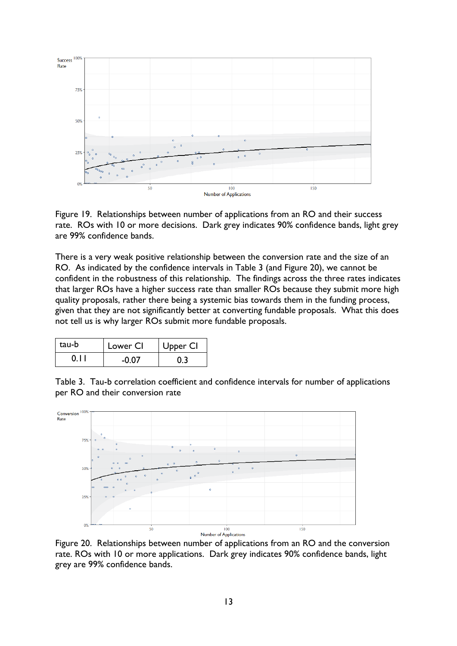

Figure 19. Relationships between number of applications from an RO and their success rate. ROs with 10 or more decisions. Dark grey indicates 90% confidence bands, light grey are 99% confidence bands.

There is a very weak positive relationship between the conversion rate and the size of an RO. As indicated by the confidence intervals in Table 3 (and Figure 20), we cannot be confident in the robustness of this relationship. The findings across the three rates indicates that larger ROs have a higher success rate than smaller ROs because they submit more high quality proposals, rather there being a systemic bias towards them in the funding process, given that they are not significantly better at converting fundable proposals. What this does not tell us is why larger ROs submit more fundable proposals.

| tau-b | Lower CI | Upper CI |
|-------|----------|----------|
| 0. L  | $-0.07$  |          |





Figure 20. Relationships between number of applications from an RO and the conversion rate. ROs with 10 or more applications. Dark grey indicates 90% confidence bands, light grey are 99% confidence bands.